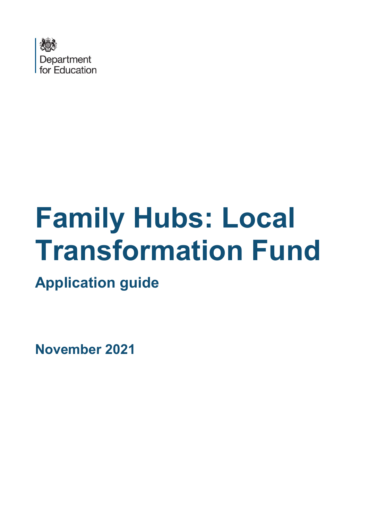

# **Family Hubs: Local Transformation Fund**

**Application guide**

**November 2021**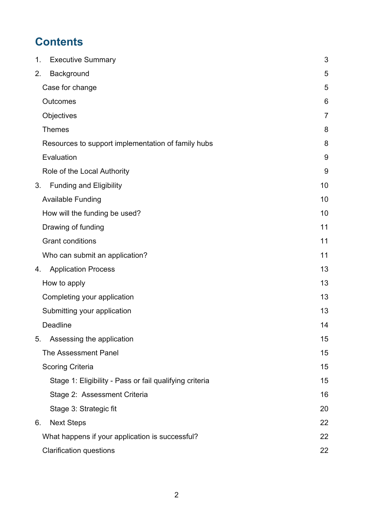# **Contents**

| <b>Executive Summary</b><br>1.                          | 3              |
|---------------------------------------------------------|----------------|
| Background<br>2.                                        | 5              |
| Case for change                                         | 5              |
| <b>Outcomes</b>                                         | 6              |
| Objectives                                              | $\overline{7}$ |
| <b>Themes</b>                                           | 8              |
| Resources to support implementation of family hubs      | 8              |
| Evaluation                                              | 9              |
| Role of the Local Authority                             | 9              |
| <b>Funding and Eligibility</b><br>3.                    | 10             |
| <b>Available Funding</b>                                | 10             |
| How will the funding be used?                           | 10             |
| Drawing of funding                                      | 11             |
| <b>Grant conditions</b>                                 | 11             |
| Who can submit an application?                          | 11             |
| <b>Application Process</b><br>4.                        | 13             |
| How to apply                                            | 13             |
| Completing your application                             | 13             |
| Submitting your application                             | 13             |
| <b>Deadline</b>                                         | 14             |
| Assessing the application<br>5.                         | 15             |
| The Assessment Panel                                    | 15             |
| <b>Scoring Criteria</b>                                 | 15             |
| Stage 1: Eligibility - Pass or fail qualifying criteria | 15             |
| Stage 2: Assessment Criteria                            | 16             |
| Stage 3: Strategic fit                                  | 20             |
| <b>Next Steps</b><br>6.                                 | 22             |
| What happens if your application is successful?         | 22             |
| <b>Clarification questions</b>                          | 22             |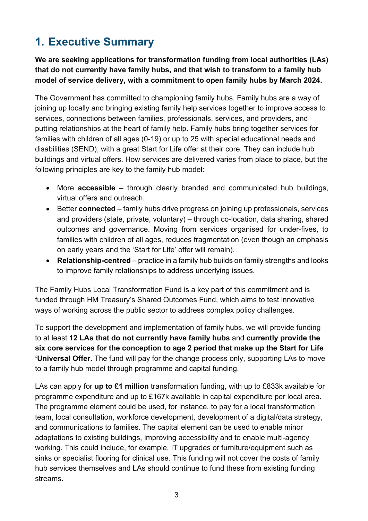# <span id="page-2-0"></span>**1. Executive Summary**

**We are seeking applications for transformation funding from local authorities (LAs) that do not currently have family hubs, and that wish to transform to a family hub model of service delivery, with a commitment to open family hubs by March 2024.**

The Government has committed to championing family hubs. Family hubs are a way of joining up locally and bringing existing family help services together to improve access to services, connections between families, professionals, services, and providers, and putting relationships at the heart of family help. Family hubs bring together services for families with children of all ages (0-19) or up to 25 with special educational needs and disabilities (SEND), with a great Start for Life offer at their core. They can include hub buildings and virtual offers. How services are delivered varies from place to place, but the following principles are key to the family hub model:

- More **accessible** through clearly branded and communicated hub buildings, virtual offers and outreach.
- Better **connected**  family hubs drive progress on joining up professionals, services and providers (state, private, voluntary) – through co-location, data sharing, shared outcomes and governance. Moving from services organised for under-fives, to families with children of all ages, reduces fragmentation (even though an emphasis on early years and the 'Start for Life' offer will remain).
- **Relationship-centred** practice in a family hub builds on family strengths and looks to improve family relationships to address underlying issues.

The Family Hubs Local Transformation Fund is a key part of this commitment and is funded through HM Treasury's Shared Outcomes Fund, which aims to test innovative ways of working across the public sector to address complex policy challenges.

To support the development and implementation of family hubs, we will provide funding to at least **12 LAs that do not currently have family hubs** and **currently provide the six core services for the conception to age 2 period that make up the Start for Life 'Universal Offer.** The fund will pay for the change process only, supporting LAs to move to a family hub model through programme and capital funding.

LAs can apply for **up to £1 million** transformation funding, with up to £833k available for programme expenditure and up to £167k available in capital expenditure per local area. The programme element could be used, for instance, to pay for a local transformation team, local consultation, workforce development, development of a digital/data strategy, and communications to families. The capital element can be used to enable minor adaptations to existing buildings, improving accessibility and to enable multi-agency working. This could include, for example, IT upgrades or furniture/equipment such as sinks or specialist flooring for clinical use. This funding will not cover the costs of family hub services themselves and LAs should continue to fund these from existing funding streams.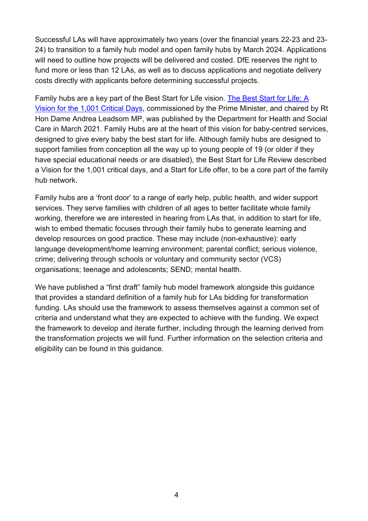Successful LAs will have approximately two years (over the financial years 22-23 and 23- 24) to transition to a family hub model and open family hubs by March 2024. Applications will need to outline how projects will be delivered and costed. DfE reserves the right to fund more or less than 12 LAs, as well as to discuss applications and negotiate delivery costs directly with applicants before determining successful projects.

Family hubs are a key part of the Best Start for Life vision. [The Best Start for Life: A](https://www.gov.uk/government/publications/the-best-start-for-life-a-vision-for-the-1001-critical-days)  [Vision for the 1,001 Critical Days,](https://www.gov.uk/government/publications/the-best-start-for-life-a-vision-for-the-1001-critical-days) commissioned by the Prime Minister, and chaired by Rt Hon Dame Andrea Leadsom MP, was published by the Department for Health and Social Care in March 2021. Family Hubs are at the heart of this vision for baby-centred services, designed to give every baby the best start for life. Although family hubs are designed to support families from conception all the way up to young people of 19 (or older if they have special educational needs or are disabled), the Best Start for Life Review described a Vision for the 1,001 critical days, and a Start for Life offer, to be a core part of the family hub network.

Family hubs are a 'front door' to a range of early help, public health, and wider support services. They serve families with children of all ages to better facilitate whole family working, therefore we are interested in hearing from LAs that, in addition to start for life, wish to embed thematic focuses through their family hubs to generate learning and develop resources on good practice. These may include (non-exhaustive): early language development/home learning environment; parental conflict; serious violence, crime; delivering through schools or voluntary and community sector (VCS) organisations; teenage and adolescents; SEND; mental health.

We have published a "first draft" family hub model framework alongside this guidance that provides a standard definition of a family hub for LAs bidding for transformation funding. LAs should use the framework to assess themselves against a common set of criteria and understand what they are expected to achieve with the funding. We expect the framework to develop and iterate further, including through the learning derived from the transformation projects we will fund. Further information on the selection criteria and eligibility can be found in this guidance.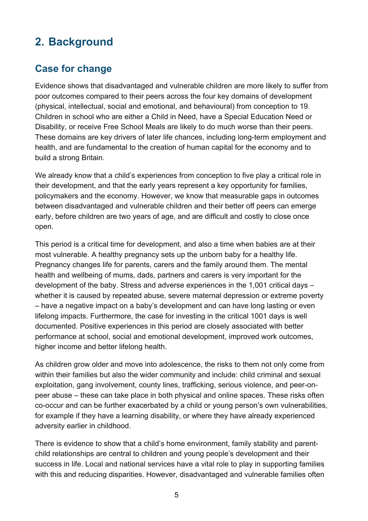# <span id="page-4-0"></span>**2. Background**

# <span id="page-4-1"></span>**Case for change**

Evidence shows that disadvantaged and vulnerable children are more likely to suffer from poor outcomes compared to their peers across the four key domains of development (physical, intellectual, social and emotional, and behavioural) from conception to 19. Children in school who are either a Child in Need, have a Special Education Need or Disability, or receive Free School Meals are likely to do much worse than their peers. These domains are key drivers of later life chances, including long-term employment and health, and are fundamental to the creation of human capital for the economy and to build a strong Britain.

We already know that a child's experiences from conception to five play a critical role in their development, and that the early years represent a key opportunity for families, policymakers and the economy. However, we know that measurable gaps in outcomes between disadvantaged and vulnerable children and their better off peers can emerge early, before children are two years of age, and are difficult and costly to close once open.

This period is a critical time for development, and also a time when babies are at their most vulnerable. A healthy pregnancy sets up the unborn baby for a healthy life. Pregnancy changes life for parents, carers and the family around them. The mental health and wellbeing of mums, dads, partners and carers is very important for the development of the baby. Stress and adverse experiences in the 1,001 critical days – whether it is caused by repeated abuse, severe maternal depression or extreme poverty – have a negative impact on a baby's development and can have long lasting or even lifelong impacts. Furthermore, the case for investing in the critical 1001 days is well documented. Positive experiences in this period are closely associated with better performance at school, social and emotional development, improved work outcomes, higher income and better lifelong health.

As children grow older and move into adolescence, the risks to them not only come from within their families but also the wider community and include: child criminal and sexual exploitation, gang involvement, county lines, trafficking, serious violence, and peer-onpeer abuse – these can take place in both physical and online spaces. These risks often co-occur and can be further exacerbated by a child or young person's own vulnerabilities, for example if they have a learning disability, or where they have already experienced adversity earlier in childhood.

There is evidence to show that a child's home environment, family stability and parentchild relationships are central to children and young people's development and their success in life. Local and national services have a vital role to play in supporting families with this and reducing disparities. However, disadvantaged and vulnerable families often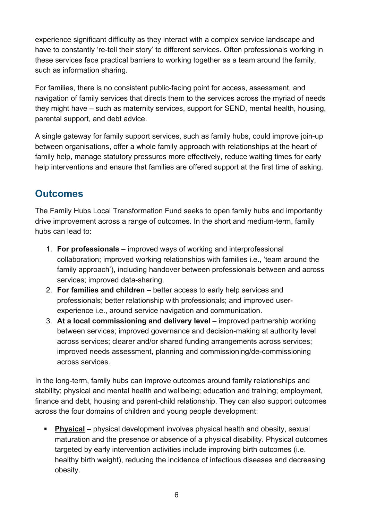experience significant difficulty as they interact with a complex service landscape and have to constantly 're-tell their story' to different services. Often professionals working in these services face practical barriers to working together as a team around the family, such as information sharing.

For families, there is no consistent public-facing point for access, assessment, and navigation of family services that directs them to the services across the myriad of needs they might have – such as maternity services, support for SEND, mental health, housing, parental support, and debt advice.

A single gateway for family support services, such as family hubs, could improve join-up between organisations, offer a whole family approach with relationships at the heart of family help, manage statutory pressures more effectively, reduce waiting times for early help interventions and ensure that families are offered support at the first time of asking.

# <span id="page-5-0"></span>**Outcomes**

The Family Hubs Local Transformation Fund seeks to open family hubs and importantly drive improvement across a range of outcomes. In the short and medium-term, family hubs can lead to:

- 1. **For professionals** improved ways of working and interprofessional collaboration; improved working relationships with families i.e., 'team around the family approach'), including handover between professionals between and across services; improved data-sharing.
- 2. **For families and children** better access to early help services and professionals; better relationship with professionals; and improved userexperience i.e., around service navigation and communication.
- 3. **At a local commissioning and delivery level**  improved partnership working between services; improved governance and decision-making at authority level across services; clearer and/or shared funding arrangements across services; improved needs assessment, planning and commissioning/de-commissioning across services.

In the long-term, family hubs can improve outcomes around family relationships and stability; physical and mental health and wellbeing; education and training; employment, finance and debt, housing and parent-child relationship. They can also support outcomes across the four domains of children and young people development:

 **Physical –** physical development involves physical health and obesity, sexual maturation and the presence or absence of a physical disability. Physical outcomes targeted by early intervention activities include improving birth outcomes (i.e. healthy birth weight), reducing the incidence of infectious diseases and decreasing obesity.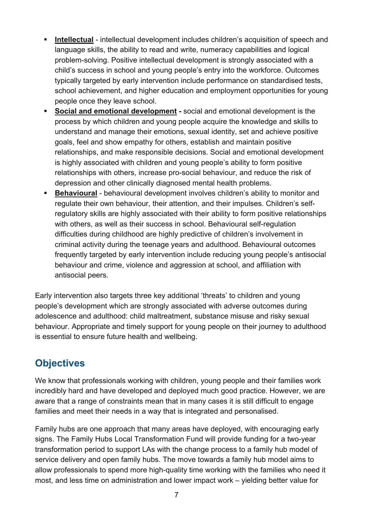- **Intellectual** intellectual development includes children's acquisition of speech and language skills, the ability to read and write, numeracy capabilities and logical problem-solving. Positive intellectual development is strongly associated with a child's success in school and young people's entry into the workforce. Outcomes typically targeted by early intervention include performance on standardised tests, school achievement, and higher education and employment opportunities for young people once they leave school.
- **Social and emotional development** social and emotional development is the process by which children and young people acquire the knowledge and skills to understand and manage their emotions, sexual identity, set and achieve positive goals, feel and show empathy for others, establish and maintain positive relationships, and make responsible decisions. Social and emotional development is highly associated with children and young people's ability to form positive relationships with others, increase pro-social behaviour, and reduce the risk of depression and other clinically diagnosed mental health problems.
- **Behavioural** behavioural development involves children's ability to monitor and regulate their own behaviour, their attention, and their impulses. Children's selfregulatory skills are highly associated with their ability to form positive relationships with others, as well as their success in school. Behavioural self-regulation difficulties during childhood are highly predictive of children's involvement in criminal activity during the teenage years and adulthood. Behavioural outcomes frequently targeted by early intervention include reducing young people's antisocial behaviour and crime, violence and aggression at school, and affiliation with antisocial peers.

Early intervention also targets three key additional 'threats' to children and young people's development which are strongly associated with adverse outcomes during adolescence and adulthood: child maltreatment, substance misuse and risky sexual behaviour. Appropriate and timely support for young people on their journey to adulthood is essential to ensure future health and wellbeing.

# <span id="page-6-0"></span>**Objectives**

We know that professionals working with children, young people and their families work incredibly hard and have developed and deployed much good practice. However, we are aware that a range of constraints mean that in many cases it is still difficult to engage families and meet their needs in a way that is integrated and personalised.

Family hubs are one approach that many areas have deployed, with encouraging early signs. The Family Hubs Local Transformation Fund will provide funding for a two-year transformation period to support LAs with the change process to a family hub model of service delivery and open family hubs. The move towards a family hub model aims to allow professionals to spend more high-quality time working with the families who need it most, and less time on administration and lower impact work – yielding better value for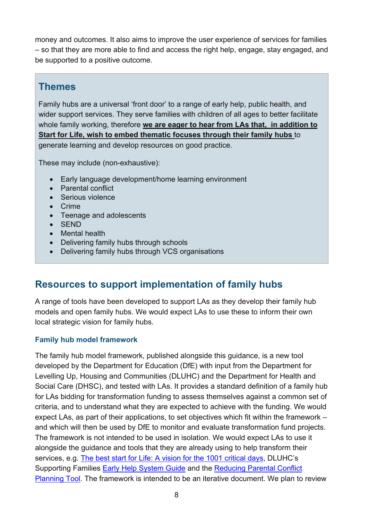money and outcomes. It also aims to improve the user experience of services for families – so that they are more able to find and access the right help, engage, stay engaged, and be supported to a positive outcome.

### <span id="page-7-0"></span>**Themes**

Family hubs are a universal 'front door' to a range of early help, public health, and wider support services. They serve families with children of all ages to better facilitate whole family working, therefore **we are eager to hear from LAs that, in addition to Start for Life, wish to embed thematic focuses through their family hubs** to generate learning and develop resources on good practice.

These may include (non-exhaustive):

- Early language development/home learning environment
- Parental conflict
- Serious violence
- Crime
- Teenage and adolescents
- SEND
- Mental health
- Delivering family hubs through schools
- Delivering family hubs through VCS organisations

# <span id="page-7-1"></span>**Resources to support implementation of family hubs**

A range of tools have been developed to support LAs as they develop their family hub models and open family hubs. We would expect LAs to use these to inform their own local strategic vision for family hubs.

#### **Family hub model framework**

The family hub model framework, published alongside this guidance, is a new tool developed by the Department for Education (DfE) with input from the Department for Levelling Up, Housing and Communities (DLUHC) and the Department for Health and Social Care (DHSC), and tested with LAs. It provides a standard definition of a family hub for LAs bidding for transformation funding to assess themselves against a common set of criteria, and to understand what they are expected to achieve with the funding. We would expect LAs, as part of their applications, to set objectives which fit within the framework – and which will then be used by DfE to monitor and evaluate transformation fund projects. The framework is not intended to be used in isolation. We would expect LAs to use it alongside the guidance and tools that they are already using to help transform their services, e.g. [The best start for Life: A vision for the 1001 critical days,](https://www.gov.uk/government/publications/the-best-start-for-life-a-vision-for-the-1001-critical-days) DLUHC's Supporting Families [Early Help System Guide](https://www.gov.uk/government/publications/troubled-families-early-help-system-guide) and the [Reducing Parental Conflict](https://www.eif.org.uk/resource/reducing-parental-conflict-planning-tool)  [Planning Tool.](https://www.eif.org.uk/resource/reducing-parental-conflict-planning-tool) The framework is intended to be an iterative document. We plan to review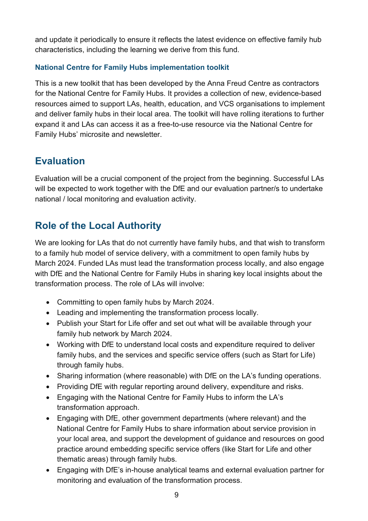and update it periodically to ensure it reflects the latest evidence on effective family hub characteristics, including the learning we derive from this fund.

#### **National Centre for Family Hubs implementation toolkit**

This is a new toolkit that has been developed by the Anna Freud Centre as contractors for the National Centre for Family Hubs. It provides a collection of new, evidence-based resources aimed to support LAs, health, education, and VCS organisations to implement and deliver family hubs in their local area. The toolkit will have rolling iterations to further expand it and LAs can access it as a free-to-use resource via the National Centre for Family Hubs' microsite and newsletter.

### <span id="page-8-0"></span>**Evaluation**

Evaluation will be a crucial component of the project from the beginning. Successful LAs will be expected to work together with the DfE and our evaluation partner/s to undertake national / local monitoring and evaluation activity.

# <span id="page-8-1"></span>**Role of the Local Authority**

We are looking for LAs that do not currently have family hubs, and that wish to transform to a family hub model of service delivery, with a commitment to open family hubs by March 2024. Funded LAs must lead the transformation process locally, and also engage with DfE and the National Centre for Family Hubs in sharing key local insights about the transformation process. The role of LAs will involve:

- Committing to open family hubs by March 2024.
- Leading and implementing the transformation process locally.
- Publish your Start for Life offer and set out what will be available through your family hub network by March 2024.
- Working with DfE to understand local costs and expenditure required to deliver family hubs, and the services and specific service offers (such as Start for Life) through family hubs.
- Sharing information (where reasonable) with DfE on the LA's funding operations.
- Providing DfE with regular reporting around delivery, expenditure and risks.
- Engaging with the National Centre for Family Hubs to inform the LA's transformation approach.
- Engaging with DfE, other government departments (where relevant) and the National Centre for Family Hubs to share information about service provision in your local area, and support the development of guidance and resources on good practice around embedding specific service offers (like Start for Life and other thematic areas) through family hubs.
- Engaging with DfE's in-house analytical teams and external evaluation partner for monitoring and evaluation of the transformation process.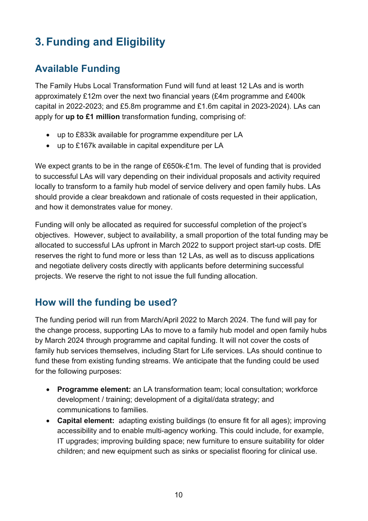# <span id="page-9-0"></span>**3. Funding and Eligibility**

# <span id="page-9-1"></span>**Available Funding**

The Family Hubs Local Transformation Fund will fund at least 12 LAs and is worth approximately £12m over the next two financial years (£4m programme and £400k capital in 2022-2023; and £5.8m programme and £1.6m capital in 2023-2024). LAs can apply for **up to £1 million** transformation funding, comprising of:

- up to £833k available for programme expenditure per LA
- up to £167k available in capital expenditure per LA

We expect grants to be in the range of £650k-£1m. The level of funding that is provided to successful LAs will vary depending on their individual proposals and activity required locally to transform to a family hub model of service delivery and open family hubs. LAs should provide a clear breakdown and rationale of costs requested in their application, and how it demonstrates value for money.

Funding will only be allocated as required for successful completion of the project's objectives. However, subject to availability, a small proportion of the total funding may be allocated to successful LAs upfront in March 2022 to support project start-up costs. DfE reserves the right to fund more or less than 12 LAs, as well as to discuss applications and negotiate delivery costs directly with applicants before determining successful projects. We reserve the right to not issue the full funding allocation.

### <span id="page-9-2"></span>**How will the funding be used?**

The funding period will run from March/April 2022 to March 2024. The fund will pay for the change process, supporting LAs to move to a family hub model and open family hubs by March 2024 through programme and capital funding. It will not cover the costs of family hub services themselves, including Start for Life services. LAs should continue to fund these from existing funding streams. We anticipate that the funding could be used for the following purposes:

- **Programme element:** an LA transformation team; local consultation; workforce development / training; development of a digital/data strategy; and communications to families.
- **Capital element:** adapting existing buildings (to ensure fit for all ages); improving accessibility and to enable multi-agency working. This could include, for example, IT upgrades; improving building space; new furniture to ensure suitability for older children; and new equipment such as sinks or specialist flooring for clinical use.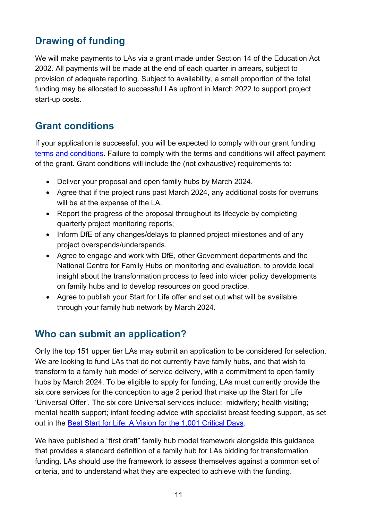# <span id="page-10-0"></span>**Drawing of funding**

We will make payments to LAs via a grant made under Section 14 of the Education Act 2002. All payments will be made at the end of each quarter in arrears, subject to provision of adequate reporting. Subject to availability, a small proportion of the total funding may be allocated to successful LAs upfront in March 2022 to support project start-up costs.

### <span id="page-10-1"></span>**Grant conditions**

If your application is successful, you will be expected to comply with our grant funding [terms and conditions.](https://assets.publishing.service.gov.uk/government/uploads/system/uploads/attachment_data/file/975812/DfE_GFA_T_Cs_2021_.pdf) Failure to comply with the terms and conditions will affect payment of the grant. Grant conditions will include the (not exhaustive) requirements to:

- Deliver your proposal and open family hubs by March 2024.
- Agree that if the project runs past March 2024, any additional costs for overruns will be at the expense of the LA.
- Report the progress of the proposal throughout its lifecycle by completing quarterly project monitoring reports;
- Inform DfE of any changes/delays to planned project milestones and of any project overspends/underspends.
- Agree to engage and work with DfE, other Government departments and the National Centre for Family Hubs on monitoring and evaluation, to provide local insight about the transformation process to feed into wider policy developments on family hubs and to develop resources on good practice.
- Agree to publish your Start for Life offer and set out what will be available through your family hub network by March 2024.

# <span id="page-10-2"></span>**Who can submit an application?**

Only the top 151 upper tier LAs may submit an application to be considered for selection. We are looking to fund LAs that do not currently have family hubs, and that wish to transform to a family hub model of service delivery, with a commitment to open family hubs by March 2024. To be eligible to apply for funding, LAs must currently provide the six core services for the conception to age 2 period that make up the Start for Life 'Universal Offer'. The six core Universal services include: midwifery; health visiting; mental health support; infant feeding advice with specialist breast feeding support, as set out in the [Best Start for Life: A Vision for the 1,001 Critical Days.](https://www.gov.uk/government/publications/the-best-start-for-life-a-vision-for-the-1001-critical-days)

We have published a "first draft" family hub model framework alongside this quidance that provides a standard definition of a family hub for LAs bidding for transformation funding. LAs should use the framework to assess themselves against a common set of criteria, and to understand what they are expected to achieve with the funding.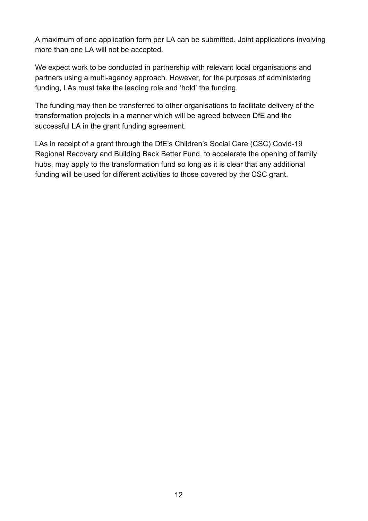A maximum of one application form per LA can be submitted. Joint applications involving more than one LA will not be accepted.

We expect work to be conducted in partnership with relevant local organisations and partners using a multi-agency approach. However, for the purposes of administering funding, LAs must take the leading role and 'hold' the funding.

The funding may then be transferred to other organisations to facilitate delivery of the transformation projects in a manner which will be agreed between DfE and the successful LA in the grant funding agreement.

LAs in receipt of a grant through the DfE's Children's Social Care (CSC) Covid-19 Regional Recovery and Building Back Better Fund, to accelerate the opening of family hubs, may apply to the transformation fund so long as it is clear that any additional funding will be used for different activities to those covered by the CSC grant.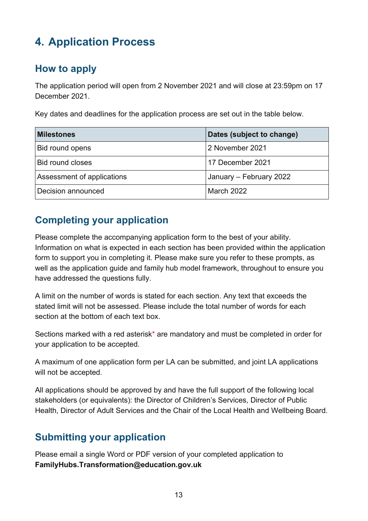# <span id="page-12-0"></span>**4. Application Process**

### <span id="page-12-1"></span>**How to apply**

The application period will open from 2 November 2021 and will close at 23:59pm on 17 December 2021.

Key dates and deadlines for the application process are set out in the table below.

| <b>Milestones</b>          | Dates (subject to change) |
|----------------------------|---------------------------|
| Bid round opens            | 2 November 2021           |
| <b>Bid round closes</b>    | 17 December 2021          |
| Assessment of applications | January - February 2022   |
| Decision announced         | <b>March 2022</b>         |

### <span id="page-12-2"></span>**Completing your application**

Please complete the accompanying application form to the best of your ability. Information on what is expected in each section has been provided within the application form to support you in completing it. Please make sure you refer to these prompts, as well as the application guide and family hub model framework, throughout to ensure you have addressed the questions fully.

A limit on the number of words is stated for each section. Any text that exceeds the stated limit will not be assessed. Please include the total number of words for each section at the bottom of each text box.

Sections marked with a red asterisk\* are mandatory and must be completed in order for your application to be accepted.

A maximum of one application form per LA can be submitted, and joint LA applications will not be accepted.

All applications should be approved by and have the full support of the following local stakeholders (or equivalents): the Director of Children's Services, Director of Public Health, Director of Adult Services and the Chair of the Local Health and Wellbeing Board.

# <span id="page-12-3"></span>**Submitting your application**

Please email a single Word or PDF version of your completed application to **FamilyHubs.Transformation@education.gov.uk**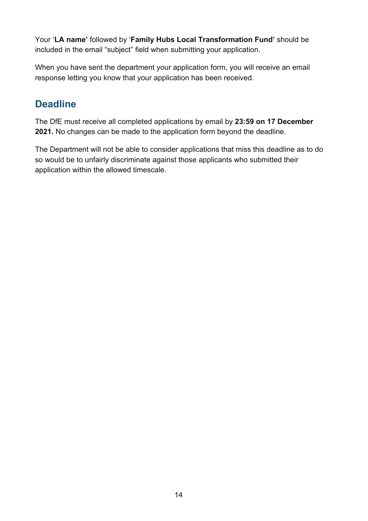Your '**LA name'** followed by '**Family Hubs Local Transformation Fund'** should be included in the email "subject" field when submitting your application.

When you have sent the department your application form, you will receive an email response letting you know that your application has been received.

# <span id="page-13-0"></span>**Deadline**

The DfE must receive all completed applications by email by **23:59 on 17 December 2021.** No changes can be made to the application form beyond the deadline.

The Department will not be able to consider applications that miss this deadline as to do so would be to unfairly discriminate against those applicants who submitted their application within the allowed timescale.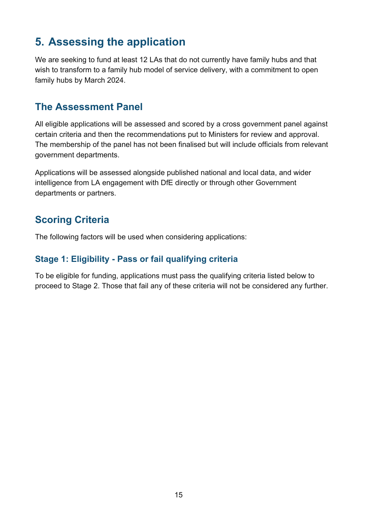# <span id="page-14-0"></span>**5. Assessing the application**

We are seeking to fund at least 12 LAs that do not currently have family hubs and that wish to transform to a family hub model of service delivery, with a commitment to open family hubs by March 2024.

#### <span id="page-14-1"></span>**The Assessment Panel**

All eligible applications will be assessed and scored by a cross government panel against certain criteria and then the recommendations put to Ministers for review and approval. The membership of the panel has not been finalised but will include officials from relevant government departments.

Applications will be assessed alongside published national and local data, and wider intelligence from LA engagement with DfE directly or through other Government departments or partners.

### <span id="page-14-2"></span>**Scoring Criteria**

The following factors will be used when considering applications:

#### <span id="page-14-3"></span>**Stage 1: Eligibility - Pass or fail qualifying criteria**

To be eligible for funding, applications must pass the qualifying criteria listed below to proceed to Stage 2. Those that fail any of these criteria will not be considered any further.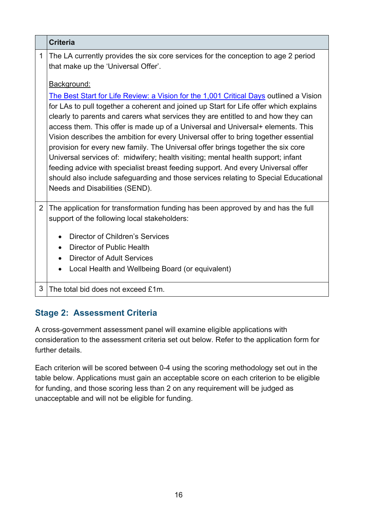|                | <b>Criteria</b>                                                                                                                                                                                                                                                                                                                                                                                                                                                                                                                                                                                                                                                                                                                                                                                                                                    |
|----------------|----------------------------------------------------------------------------------------------------------------------------------------------------------------------------------------------------------------------------------------------------------------------------------------------------------------------------------------------------------------------------------------------------------------------------------------------------------------------------------------------------------------------------------------------------------------------------------------------------------------------------------------------------------------------------------------------------------------------------------------------------------------------------------------------------------------------------------------------------|
| 1              | The LA currently provides the six core services for the conception to age 2 period<br>that make up the 'Universal Offer'.                                                                                                                                                                                                                                                                                                                                                                                                                                                                                                                                                                                                                                                                                                                          |
|                | Background:<br>The Best Start for Life Review: a Vision for the 1,001 Critical Days outlined a Vision<br>for LAs to pull together a coherent and joined up Start for Life offer which explains<br>clearly to parents and carers what services they are entitled to and how they can<br>access them. This offer is made up of a Universal and Universal+ elements. This<br>Vision describes the ambition for every Universal offer to bring together essential<br>provision for every new family. The Universal offer brings together the six core<br>Universal services of: midwifery; health visiting; mental health support; infant<br>feeding advice with specialist breast feeding support. And every Universal offer<br>should also include safeguarding and those services relating to Special Educational<br>Needs and Disabilities (SEND). |
| $\overline{2}$ | The application for transformation funding has been approved by and has the full<br>support of the following local stakeholders:<br>Director of Children's Services<br>$\bullet$<br>Director of Public Health<br>$\bullet$<br><b>Director of Adult Services</b><br>Local Health and Wellbeing Board (or equivalent)<br>$\bullet$                                                                                                                                                                                                                                                                                                                                                                                                                                                                                                                   |
| 3              | The total bid does not exceed £1m.                                                                                                                                                                                                                                                                                                                                                                                                                                                                                                                                                                                                                                                                                                                                                                                                                 |

### <span id="page-15-0"></span>**Stage 2: Assessment Criteria**

A cross-government assessment panel will examine eligible applications with consideration to the assessment criteria set out below. Refer to the application form for further details.

Each criterion will be scored between 0-4 using the scoring methodology set out in the table below. Applications must gain an acceptable score on each criterion to be eligible for funding, and those scoring less than 2 on any requirement will be judged as unacceptable and will not be eligible for funding.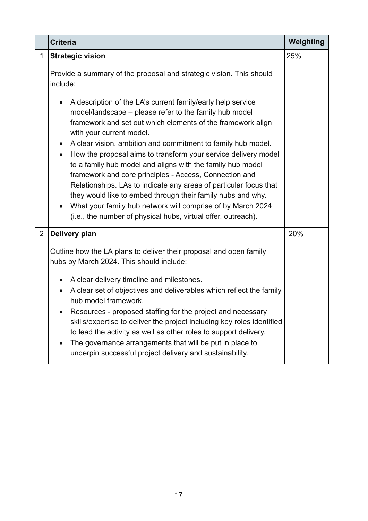|              | Weighting<br><b>Criteria</b>                                                                                                                                                                                                                                                                                                                                                                                                                                                                                                                                      |     |  |
|--------------|-------------------------------------------------------------------------------------------------------------------------------------------------------------------------------------------------------------------------------------------------------------------------------------------------------------------------------------------------------------------------------------------------------------------------------------------------------------------------------------------------------------------------------------------------------------------|-----|--|
| $\mathbf{1}$ | <b>Strategic vision</b>                                                                                                                                                                                                                                                                                                                                                                                                                                                                                                                                           | 25% |  |
|              | Provide a summary of the proposal and strategic vision. This should<br>include:                                                                                                                                                                                                                                                                                                                                                                                                                                                                                   |     |  |
|              | A description of the LA's current family/early help service<br>$\bullet$<br>model/landscape – please refer to the family hub model<br>framework and set out which elements of the framework align<br>with your current model.                                                                                                                                                                                                                                                                                                                                     |     |  |
|              | A clear vision, ambition and commitment to family hub model.<br>$\bullet$<br>How the proposal aims to transform your service delivery model<br>$\bullet$<br>to a family hub model and aligns with the family hub model<br>framework and core principles - Access, Connection and<br>Relationships. LAs to indicate any areas of particular focus that<br>they would like to embed through their family hubs and why.<br>What your family hub network will comprise of by March 2024<br>$\bullet$<br>(i.e., the number of physical hubs, virtual offer, outreach). |     |  |
| 2            | Delivery plan                                                                                                                                                                                                                                                                                                                                                                                                                                                                                                                                                     | 20% |  |
|              | Outline how the LA plans to deliver their proposal and open family<br>hubs by March 2024. This should include:                                                                                                                                                                                                                                                                                                                                                                                                                                                    |     |  |
|              | A clear delivery timeline and milestones.<br>A clear set of objectives and deliverables which reflect the family<br>$\bullet$<br>hub model framework.<br>Resources - proposed staffing for the project and necessary<br>skills/expertise to deliver the project including key roles identified<br>to lead the activity as well as other roles to support delivery.<br>The governance arrangements that will be put in place to<br>underpin successful project delivery and sustainability.                                                                        |     |  |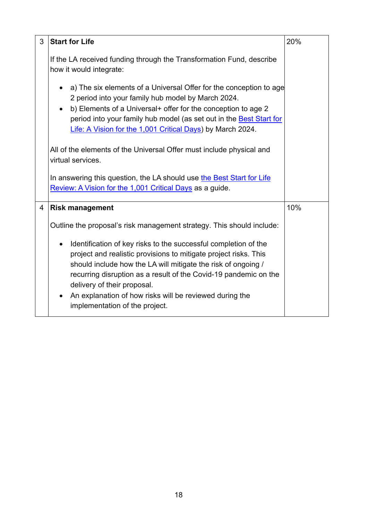| 3              | <b>Start for Life</b>                                                                                                                                                                                                                                                                                                                                                                                | 20% |
|----------------|------------------------------------------------------------------------------------------------------------------------------------------------------------------------------------------------------------------------------------------------------------------------------------------------------------------------------------------------------------------------------------------------------|-----|
|                | If the LA received funding through the Transformation Fund, describe<br>how it would integrate:                                                                                                                                                                                                                                                                                                      |     |
|                | a) The six elements of a Universal Offer for the conception to age<br>2 period into your family hub model by March 2024.<br>b) Elements of a Universal+ offer for the conception to age 2<br>period into your family hub model (as set out in the Best Start for<br>Life: A Vision for the 1,001 Critical Days) by March 2024.                                                                       |     |
|                | All of the elements of the Universal Offer must include physical and<br>virtual services.                                                                                                                                                                                                                                                                                                            |     |
|                | In answering this question, the LA should use the Best Start for Life<br>Review: A Vision for the 1,001 Critical Days as a guide.                                                                                                                                                                                                                                                                    |     |
| $\overline{4}$ | <b>Risk management</b>                                                                                                                                                                                                                                                                                                                                                                               | 10% |
|                | Outline the proposal's risk management strategy. This should include:                                                                                                                                                                                                                                                                                                                                |     |
|                | Identification of key risks to the successful completion of the<br>project and realistic provisions to mitigate project risks. This<br>should include how the LA will mitigate the risk of ongoing /<br>recurring disruption as a result of the Covid-19 pandemic on the<br>delivery of their proposal.<br>An explanation of how risks will be reviewed during the<br>implementation of the project. |     |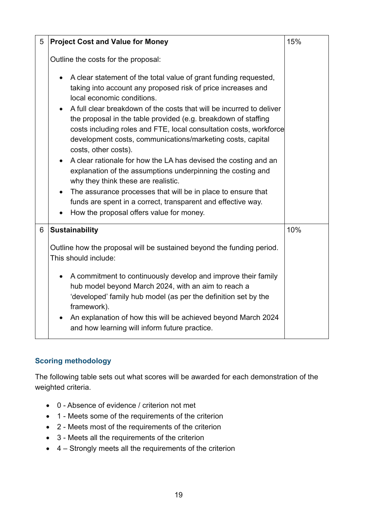| 5 | <b>Project Cost and Value for Money</b>                                                                                                                                                                                                                                                                                                                                                           | 15% |
|---|---------------------------------------------------------------------------------------------------------------------------------------------------------------------------------------------------------------------------------------------------------------------------------------------------------------------------------------------------------------------------------------------------|-----|
|   | Outline the costs for the proposal:<br>A clear statement of the total value of grant funding requested,<br>taking into account any proposed risk of price increases and<br>local economic conditions.<br>A full clear breakdown of the costs that will be incurred to deliver<br>the proposal in the table provided (e.g. breakdown of staffing                                                   |     |
|   | costs including roles and FTE, local consultation costs, workforce<br>development costs, communications/marketing costs, capital<br>costs, other costs).<br>A clear rationale for how the LA has devised the costing and an<br>explanation of the assumptions underpinning the costing and<br>why they think these are realistic.<br>The assurance processes that will be in place to ensure that |     |
|   | funds are spent in a correct, transparent and effective way.<br>How the proposal offers value for money.                                                                                                                                                                                                                                                                                          |     |
| 6 | <b>Sustainability</b>                                                                                                                                                                                                                                                                                                                                                                             | 10% |
|   | Outline how the proposal will be sustained beyond the funding period.<br>This should include:                                                                                                                                                                                                                                                                                                     |     |
|   | A commitment to continuously develop and improve their family<br>hub model beyond March 2024, with an aim to reach a<br>'developed' family hub model (as per the definition set by the<br>framework).<br>An explanation of how this will be achieved beyond March 2024<br>and how learning will inform future practice.                                                                           |     |

#### **Scoring methodology**

The following table sets out what scores will be awarded for each demonstration of the weighted criteria.

- 0 Absence of evidence / criterion not met
- 1 Meets some of the requirements of the criterion
- 2 Meets most of the requirements of the criterion
- 3 Meets all the requirements of the criterion
- 4 Strongly meets all the requirements of the criterion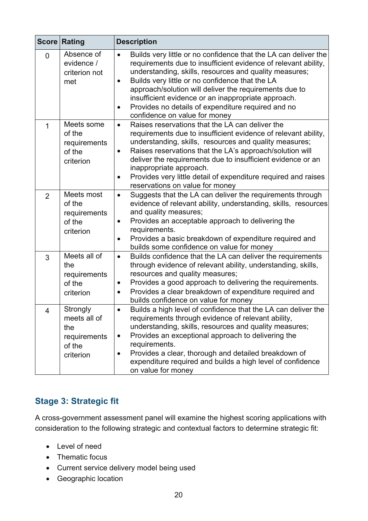|                | <b>Score Rating</b>                                                    | <b>Description</b>                                                                                                                                                                                                                                                                                                                                                                                                                                                                            |
|----------------|------------------------------------------------------------------------|-----------------------------------------------------------------------------------------------------------------------------------------------------------------------------------------------------------------------------------------------------------------------------------------------------------------------------------------------------------------------------------------------------------------------------------------------------------------------------------------------|
| $\overline{0}$ | Absence of<br>evidence /<br>criterion not<br>met                       | Builds very little or no confidence that the LA can deliver the<br>$\bullet$<br>requirements due to insufficient evidence of relevant ability,<br>understanding, skills, resources and quality measures;<br>Builds very little or no confidence that the LA<br>$\bullet$<br>approach/solution will deliver the requirements due to<br>insufficient evidence or an inappropriate approach.<br>Provides no details of expenditure required and no<br>$\bullet$<br>confidence on value for money |
| $\overline{1}$ | Meets some<br>of the<br>requirements<br>of the<br>criterion            | Raises reservations that the LA can deliver the<br>$\bullet$<br>requirements due to insufficient evidence of relevant ability,<br>understanding, skills, resources and quality measures;<br>Raises reservations that the LA's approach/solution will<br>$\bullet$<br>deliver the requirements due to insufficient evidence or an<br>inappropriate approach.<br>Provides very little detail of expenditure required and raises<br>$\bullet$<br>reservations on value for money                 |
| $\overline{2}$ | Meets most<br>of the<br>requirements<br>of the<br>criterion            | Suggests that the LA can deliver the requirements through<br>$\bullet$<br>evidence of relevant ability, understanding, skills, resources<br>and quality measures;<br>Provides an acceptable approach to delivering the<br>$\bullet$<br>requirements.<br>Provides a basic breakdown of expenditure required and<br>$\bullet$<br>builds some confidence on value for money                                                                                                                      |
| 3              | Meets all of<br>the<br>requirements<br>of the<br>criterion             | Builds confidence that the LA can deliver the requirements<br>$\bullet$<br>through evidence of relevant ability, understanding, skills,<br>resources and quality measures;<br>Provides a good approach to delivering the requirements.<br>$\bullet$<br>Provides a clear breakdown of expenditure required and<br>builds confidence on value for money                                                                                                                                         |
| Δ              | Strongly<br>meets all of<br>the<br>requirements<br>of the<br>criterion | Builds a high level of confidence that the LA can deliver the<br>requirements through evidence of relevant ability,<br>understanding, skills, resources and quality measures;<br>Provides an exceptional approach to delivering the<br>$\bullet$<br>requirements.<br>Provides a clear, thorough and detailed breakdown of<br>expenditure required and builds a high level of confidence<br>on value for money                                                                                 |

### <span id="page-19-0"></span>**Stage 3: Strategic fit**

A cross-government assessment panel will examine the highest scoring applications with consideration to the following strategic and contextual factors to determine strategic fit:

- Level of need
- Thematic focus
- Current service delivery model being used
- Geographic location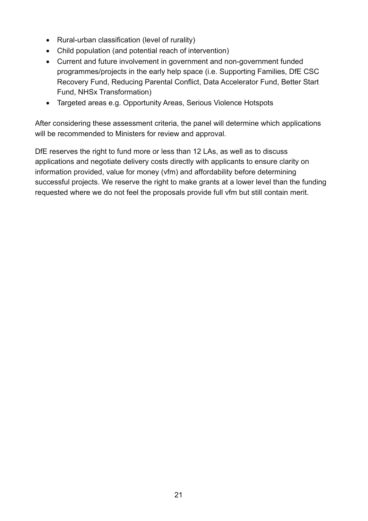- Rural-urban classification (level of rurality)
- Child population (and potential reach of intervention)
- Current and future involvement in government and non-government funded programmes/projects in the early help space (i.e. Supporting Families, DfE CSC Recovery Fund, Reducing Parental Conflict, Data Accelerator Fund, Better Start Fund, NHSx Transformation)
- Targeted areas e.g. Opportunity Areas, Serious Violence Hotspots

After considering these assessment criteria, the panel will determine which applications will be recommended to Ministers for review and approval.

DfE reserves the right to fund more or less than 12 LAs, as well as to discuss applications and negotiate delivery costs directly with applicants to ensure clarity on information provided, value for money (vfm) and affordability before determining successful projects. We reserve the right to make grants at a lower level than the funding requested where we do not feel the proposals provide full vfm but still contain merit.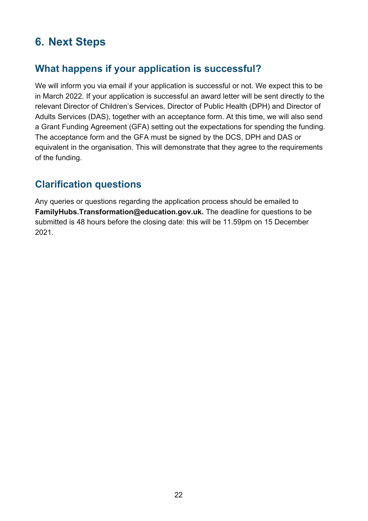# <span id="page-21-0"></span>**6. Next Steps**

# <span id="page-21-1"></span>**What happens if your application is successful?**

We will inform you via email if your application is successful or not. We expect this to be in March 2022. If your application is successful an award letter will be sent directly to the relevant Director of Children's Services, Director of Public Health (DPH) and Director of Adults Services (DAS), together with an acceptance form. At this time, we will also send a Grant Funding Agreement (GFA) setting out the expectations for spending the funding. The acceptance form and the GFA must be signed by the DCS, DPH and DAS or equivalent in the organisation. This will demonstrate that they agree to the requirements of the funding.

# <span id="page-21-2"></span>**Clarification questions**

Any queries or questions regarding the application process should be emailed to **FamilyHubs.Transformation@education.gov.uk.** The deadline for questions to be submitted is 48 hours before the closing date: this will be 11.59pm on 15 December 2021.